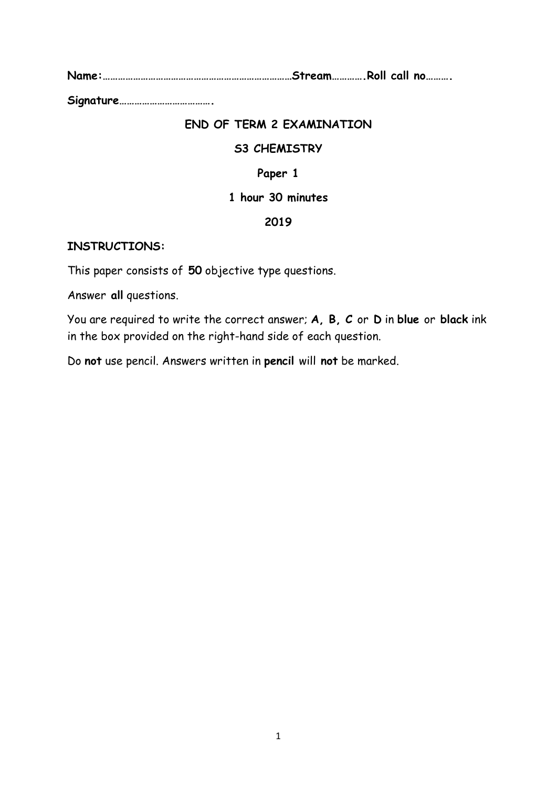**Name:…………………………………………………………………Stream………….Roll call no……….** 

**Signature……………………………….** 

## **END OF TERM 2 EXAMINATION**

### **S3 CHEMISTRY**

## **Paper 1**

### **1 hour 30 minutes**

### **2019**

### **INSTRUCTIONS:**

This paper consists of **50** objective type questions.

Answer **all** questions.

You are required to write the correct answer; **A, B, C** or **D** in **blue** or **black** ink in the box provided on the right-hand side of each question.

Do **not** use pencil. Answers written in **pencil** will **not** be marked.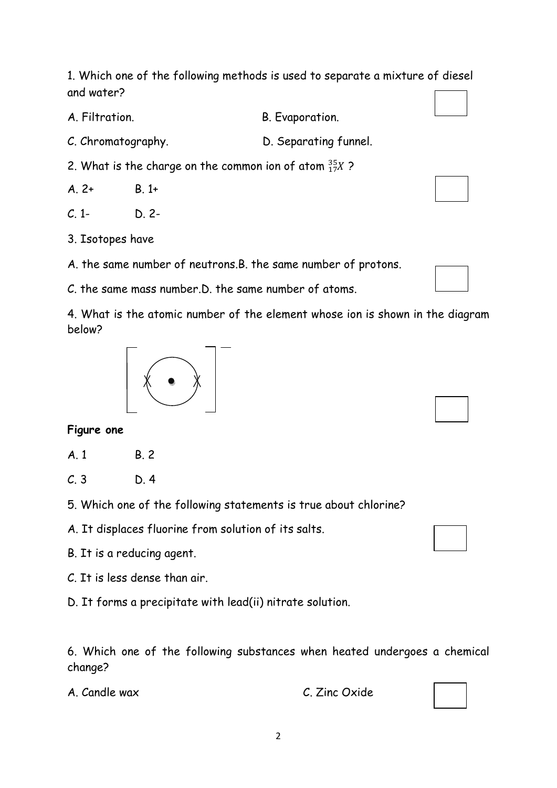1. Which one of the following methods is used to separate a mixture of diesel and water?

A. Filtration. B. Evaporation.

C. Chromatography. D. Separating funnel.

2. What is the charge on the common ion of atom  ${}^{35}_{17}X$  ?

 $A. 2+ B. 1+$ 

 $C. 1 - D. 2$ 

3. Isotopes have

A. the same number of neutrons.B. the same number of protons.

C. the same mass number.D. the same number of atoms.

4. What is the atomic number of the element whose ion is shown in the diagram below?

# **Figure one**

- A. 1 B. 2
- $C.3$   $D.4$
- 5. Which one of the following statements is true about chlorine?

A. It displaces fluorine from solution of its salts.

B. It is a reducing agent.

C. It is less dense than air.

D. It forms a precipitate with lead(ii) nitrate solution.

6. Which one of the following substances when heated undergoes a chemical change?

A. Candle wax C. Zinc Oxide



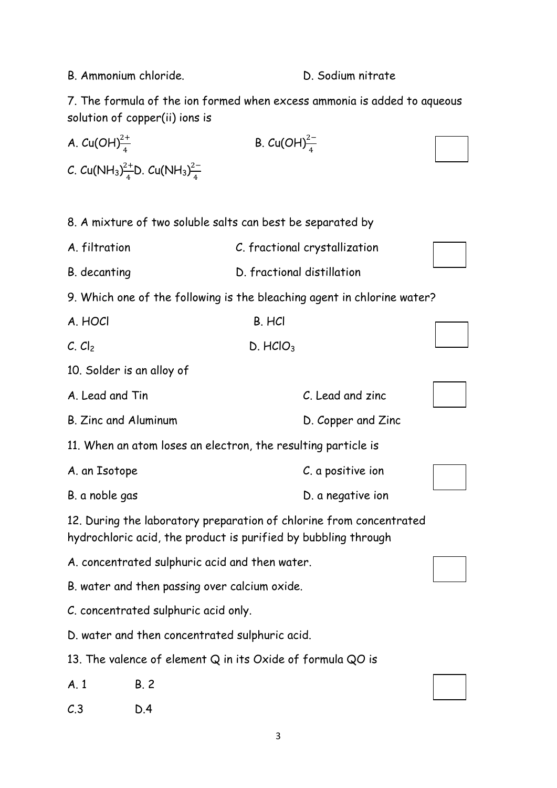B. Ammonium chloride. Community D. Sodium nitrate

7. The formula of the ion formed when excess ammonia is added to aqueous solution of copper(ii) ions is

| A. $Cu(OH)^{2+}_{4}$                           | B. $Cu(OH)^{2-}_{4}$                                                                                  |                      |                                                                         |  |
|------------------------------------------------|-------------------------------------------------------------------------------------------------------|----------------------|-------------------------------------------------------------------------|--|
|                                                | C. Cu(NH <sub>3</sub> ) <sup>2+</sup> <sub>4</sub> D. Cu(NH <sub>3</sub> ) <sup>2-</sup> <sub>4</sub> |                      |                                                                         |  |
|                                                |                                                                                                       |                      |                                                                         |  |
|                                                | 8. A mixture of two soluble salts can best be separated by                                            |                      |                                                                         |  |
| A. filtration                                  |                                                                                                       |                      | C. fractional crystallization                                           |  |
| B. decanting                                   |                                                                                                       |                      | D. fractional distillation                                              |  |
|                                                |                                                                                                       |                      | 9. Which one of the following is the bleaching agent in chlorine water? |  |
| A. HOCI                                        |                                                                                                       | B. HCI               |                                                                         |  |
| $C.$ $Cl2$                                     |                                                                                                       | D. HClO <sub>3</sub> |                                                                         |  |
| 10. Solder is an alloy of                      |                                                                                                       |                      |                                                                         |  |
| A. Lead and Tin                                |                                                                                                       |                      | C. Lead and zinc                                                        |  |
| B. Zinc and Aluminum                           |                                                                                                       |                      | D. Copper and Zinc                                                      |  |
|                                                | 11. When an atom loses an electron, the resulting particle is                                         |                      |                                                                         |  |
| A. an Isotope                                  |                                                                                                       |                      | C. a positive ion                                                       |  |
| B. a noble gas                                 |                                                                                                       |                      | D. a negative ion                                                       |  |
|                                                | hydrochloric acid, the product is purified by bubbling through                                        |                      | 12. During the laboratory preparation of chlorine from concentrated     |  |
| A. concentrated sulphuric acid and then water. |                                                                                                       |                      |                                                                         |  |
| B. water and then passing over calcium oxide.  |                                                                                                       |                      |                                                                         |  |
| C. concentrated sulphuric acid only.           |                                                                                                       |                      |                                                                         |  |
|                                                | D. water and then concentrated sulphuric acid.                                                        |                      |                                                                         |  |
|                                                | 13. The valence of element Q in its Oxide of formula QO is                                            |                      |                                                                         |  |
| A.1                                            | B.2                                                                                                   |                      |                                                                         |  |
| C.3                                            | D.4                                                                                                   |                      |                                                                         |  |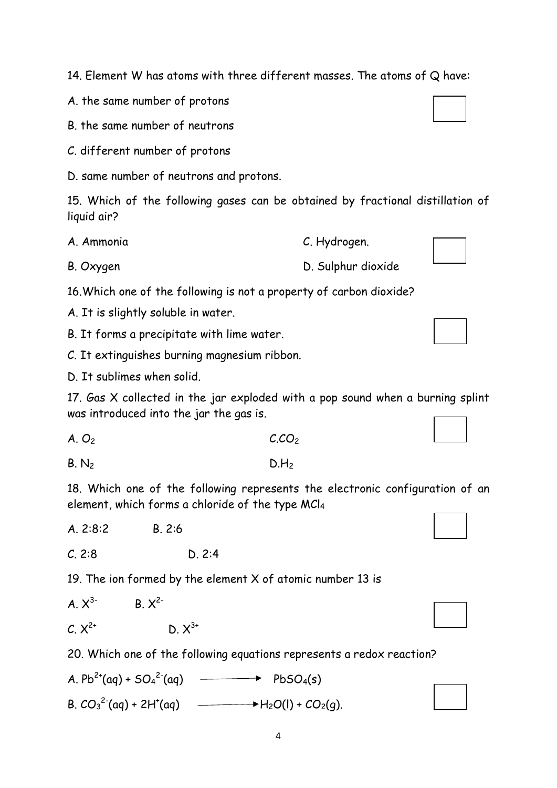14. Element W has atoms with three different masses. The atoms of Q have:

A. the same number of protons

B. the same number of neutrons

C. different number of protons

D. same number of neutrons and protons.

15. Which of the following gases can be obtained by fractional distillation of liquid air?

A. Ammonia C. Hydrogen.

B. Oxygen D. Sulphur dioxide

16.Which one of the following is not a property of carbon dioxide?

A. It is slightly soluble in water.

B. It forms a precipitate with lime water.

C. It extinguishes burning magnesium ribbon.

D. It sublimes when solid.

17. Gas X collected in the jar exploded with a pop sound when a burning splint was introduced into the jar the gas is.

 $A. O_2$  C.CO<sub>2</sub>

 $B. N_2$  D.H<sub>2</sub>

18. Which one of the following represents the electronic configuration of an element, which forms a chloride of the type MCl<sup>4</sup>

A. 2:8:2 B. 2:6

C. 2:8 D. 2:4

19. The ion formed by the element X of atomic number 13 is

| $A. X^{3}$  | $B. X^{2-}$ |
|-------------|-------------|
| $C. X^{2+}$ | $D. X^{3+}$ |

20. Which one of the following equations represents a redox reaction?

A.  $Pb^{2+}(aq) + SO_4^{2-}(aq)$  $\rightarrow$  PbSO<sub>4</sub>(s) B.  $CO_3^2$ <sup>2-</sup>(aq) + 2H<sup>+</sup>  $\rightarrow$  H<sub>2</sub>O(l) + CO<sub>2</sub>(g).







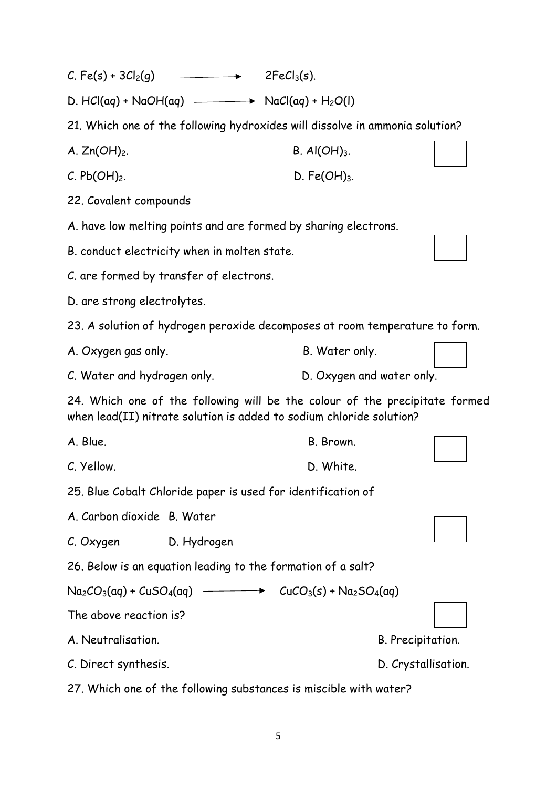| C. Fe(s) + $3Cl2(q)$                                                                                                                                | $\begin{array}{c} \begin{array}{c} \begin{array}{c} \begin{array}{c} \end{array} \\ \end{array} \end{array} \end{array} \end{array}$ | $2FeCl3(s)$ .                                                                |                   |  |
|-----------------------------------------------------------------------------------------------------------------------------------------------------|--------------------------------------------------------------------------------------------------------------------------------------|------------------------------------------------------------------------------|-------------------|--|
|                                                                                                                                                     |                                                                                                                                      |                                                                              |                   |  |
|                                                                                                                                                     |                                                                                                                                      | 21. Which one of the following hydroxides will dissolve in ammonia solution? |                   |  |
| A. $Zn(OH)_2$ .                                                                                                                                     |                                                                                                                                      | B. Al $(OH)_3$ .                                                             |                   |  |
| C. Pb(OH) <sub>2</sub> .                                                                                                                            |                                                                                                                                      | D. Fe $(OH)_{3}$ .                                                           |                   |  |
| 22. Covalent compounds                                                                                                                              |                                                                                                                                      |                                                                              |                   |  |
|                                                                                                                                                     |                                                                                                                                      | A. have low melting points and are formed by sharing electrons.              |                   |  |
| B. conduct electricity when in molten state.                                                                                                        |                                                                                                                                      |                                                                              |                   |  |
| C. are formed by transfer of electrons.                                                                                                             |                                                                                                                                      |                                                                              |                   |  |
| D. are strong electrolytes.                                                                                                                         |                                                                                                                                      |                                                                              |                   |  |
|                                                                                                                                                     |                                                                                                                                      | 23. A solution of hydrogen peroxide decomposes at room temperature to form.  |                   |  |
| A. Oxygen gas only.                                                                                                                                 |                                                                                                                                      | B. Water only.                                                               |                   |  |
| C. Water and hydrogen only.<br>D. Oxygen and water only.                                                                                            |                                                                                                                                      |                                                                              |                   |  |
| 24. Which one of the following will be the colour of the precipitate formed<br>when lead(II) nitrate solution is added to sodium chloride solution? |                                                                                                                                      |                                                                              |                   |  |
| A. Blue.                                                                                                                                            |                                                                                                                                      | B. Brown.                                                                    |                   |  |
| C. Yellow.                                                                                                                                          |                                                                                                                                      | D. White.                                                                    |                   |  |
|                                                                                                                                                     |                                                                                                                                      | 25. Blue Cobalt Chloride paper is used for identification of                 |                   |  |
| A. Carbon dioxide B. Water                                                                                                                          |                                                                                                                                      |                                                                              |                   |  |
| C. Oxygen                                                                                                                                           | D. Hydrogen                                                                                                                          |                                                                              |                   |  |
|                                                                                                                                                     |                                                                                                                                      | 26. Below is an equation leading to the formation of a salt?                 |                   |  |
| $Na_2CO_3(aq) + CuSO_4(aq)$ $\longrightarrow$                                                                                                       |                                                                                                                                      | $CuCO3(s) + Na2SO4(aq)$                                                      |                   |  |
| The above reaction is?                                                                                                                              |                                                                                                                                      |                                                                              |                   |  |
| A. Neutralisation.                                                                                                                                  |                                                                                                                                      |                                                                              | B. Precipitation. |  |
|                                                                                                                                                     | D. Crystallisation.<br>C. Direct synthesis.                                                                                          |                                                                              |                   |  |
|                                                                                                                                                     |                                                                                                                                      | 27. Which one of the following substances is miscible with water?            |                   |  |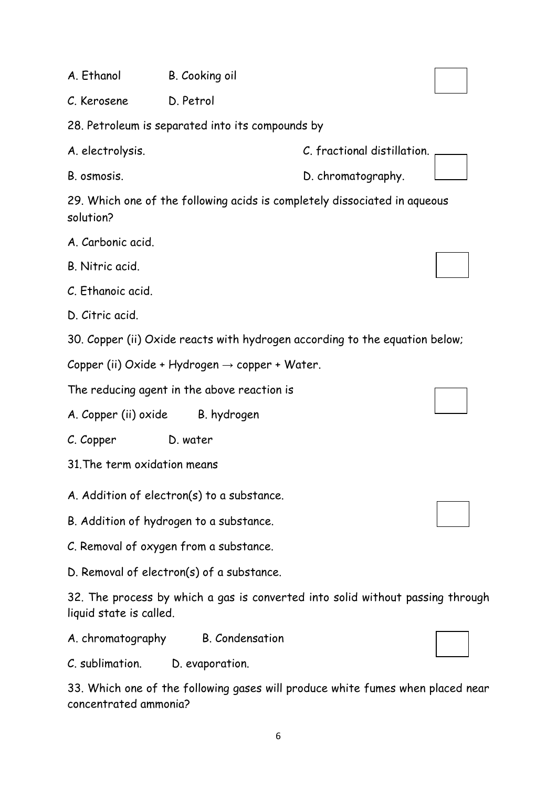A. Ethanol B. Cooking oil

C. Kerosene D. Petrol

28. Petroleum is separated into its compounds by

29. Which one of the following acids is completely dissociated in aqueous solution?

- A. Carbonic acid.
- B. Nitric acid.
- C. Ethanoic acid.
- D. Citric acid.

30. Copper (ii) Oxide reacts with hydrogen according to the equation below;

Copper (ii) Oxide + Hydrogen  $\rightarrow$  copper + Water.

The reducing agent in the above reaction is

A. Copper (ii) oxide B. hydrogen

- C. Copper D. water
- 31.The term oxidation means

A. Addition of electron(s) to a substance.

B. Addition of hydrogen to a substance.

C. Removal of oxygen from a substance.

D. Removal of electron(s) of a substance.

32. The process by which a gas is converted into solid without passing through liquid state is called.

A. chromatography B. Condensation

C. sublimation. D. evaporation.

33. Which one of the following gases will produce white fumes when placed near concentrated ammonia?

A. electrolysis. C. fractional distillation.

B. osmosis. D. chromatography.



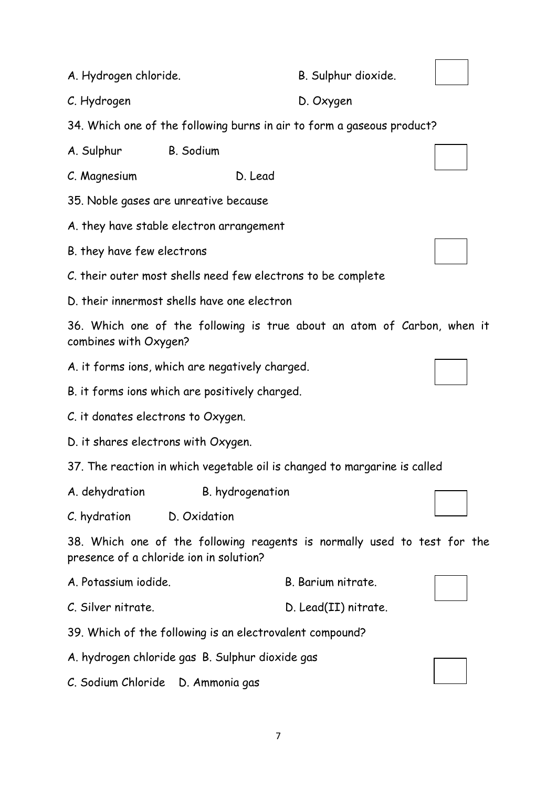A. Hydrogen chloride. B. Sulphur dioxide.

C. Hydrogen D. Oxygen

34. Which one of the following burns in air to form a gaseous product?

A. Sulphur B. Sodium

C. Magnesium D. Lead

35. Noble gases are unreative because

A. they have stable electron arrangement

B. they have few electrons

C. their outer most shells need few electrons to be complete

D. their innermost shells have one electron

36. Which one of the following is true about an atom of Carbon, when it combines with Oxygen?

A. it forms ions, which are negatively charged.

B. it forms ions which are positively charged.

C. it donates electrons to Oxygen.

D. it shares electrons with Oxygen.

37. The reaction in which vegetable oil is changed to margarine is called

A. dehydration B. hydrogenation

C. hydration D. Oxidation

38. Which one of the following reagents is normally used to test for the presence of a chloride ion in solution?

A. Potassium iodide. B. Barium nitrate.

C. Silver nitrate. D. Lead(II) nitrate.

39. Which of the following is an electrovalent compound?

A. hydrogen chloride gas B. Sulphur dioxide gas

C. Sodium Chloride D. Ammonia gas





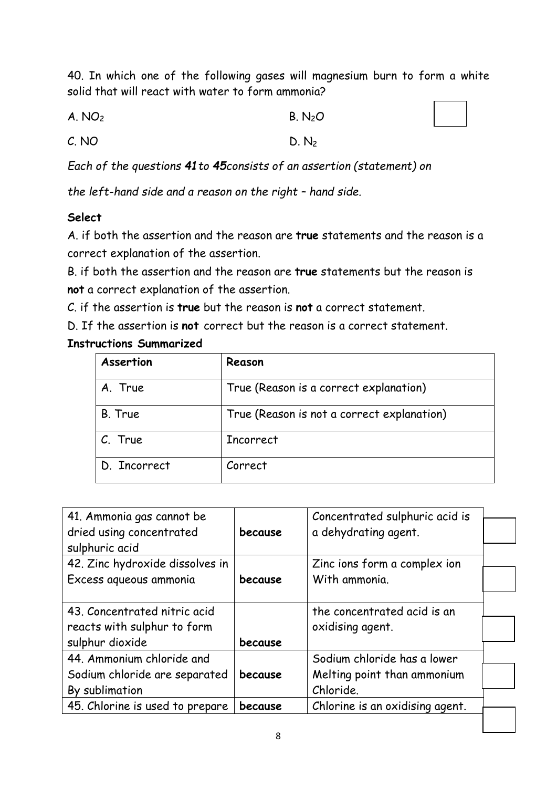40. In which one of the following gases will magnesium burn to form a white solid that will react with water to form ammonia?

| A. NO <sub>2</sub> | B. N <sub>2</sub> O |
|--------------------|---------------------|
|--------------------|---------------------|

 $C. NO$  D. N<sub>2</sub>

*Each of the questions 41to 45consists of an assertion (statement) on* 

*the left-hand side and a reason on the right – hand side.* 

## **Select**

A. if both the assertion and the reason are **true** statements and the reason is a correct explanation of the assertion.

B. if both the assertion and the reason are **true** statements but the reason is **not** a correct explanation of the assertion.

C. if the assertion is **true** but the reason is **not** a correct statement.

D. If the assertion is **not** correct but the reason is a correct statement.

## **Instructions Summarized**

| Assertion    | Reason                                     |
|--------------|--------------------------------------------|
| A. True      | True (Reason is a correct explanation)     |
| B. True      | True (Reason is not a correct explanation) |
| C. True      | <b>Incorrect</b>                           |
| D. Incorrect | Correct                                    |

| 41. Ammonia gas cannot be       |         | Concentrated sulphuric acid is  |  |
|---------------------------------|---------|---------------------------------|--|
| dried using concentrated        | because | a dehydrating agent.            |  |
| sulphuric acid                  |         |                                 |  |
| 42. Zinc hydroxide dissolves in |         | Zinc ions form a complex ion    |  |
| Excess aqueous ammonia          | because | With ammonia.                   |  |
|                                 |         |                                 |  |
| 43. Concentrated nitric acid    |         | the concentrated acid is an     |  |
| reacts with sulphur to form     |         | oxidising agent.                |  |
| sulphur dioxide                 | because |                                 |  |
| 44. Ammonium chloride and       |         | Sodium chloride has a lower     |  |
| Sodium chloride are separated   | because | Melting point than ammonium     |  |
| By sublimation                  |         | Chloride.                       |  |
| 45. Chlorine is used to prepare | because | Chlorine is an oxidising agent. |  |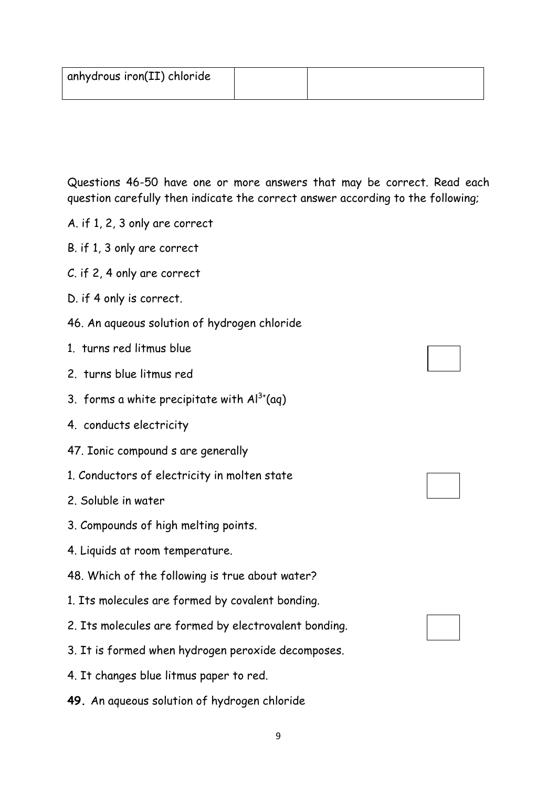| ' anhydrous iron(II) chloride |  |
|-------------------------------|--|
|                               |  |

Questions 46-50 have one or more answers that may be correct. Read each question carefully then indicate the correct answer according to the following;

- A. if 1, 2, 3 only are correct
- B. if 1, 3 only are correct
- C. if 2, 4 only are correct
- D. if 4 only is correct.
- 46. An aqueous solution of hydrogen chloride
- 1. turns red litmus blue
- 2. turns blue litmus red
- 3. forms a white precipitate with  $Al^{3+}(aq)$
- 4. conducts electricity
- 47. Ionic compound s are generally
- 1. Conductors of electricity in molten state
- 2. Soluble in water
- 3. Compounds of high melting points.
- 4. Liquids at room temperature.
- 48. Which of the following is true about water?
- 1. Its molecules are formed by covalent bonding.
- 2. Its molecules are formed by electrovalent bonding.
- 3. It is formed when hydrogen peroxide decomposes.

9

- 4. It changes blue litmus paper to red.
- **49.** An aqueous solution of hydrogen chloride